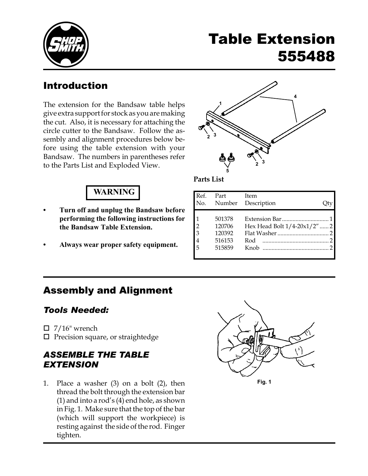

# Table Extension 555488

## Introduction

The extension for the Bandsaw table helps give extra support for stock as you are making the cut. Also, it is necessary for attaching the circle cutter to the Bandsaw. Follow the assembly and alignment procedures below before using the table extension with your Bandsaw. The numbers in parentheses refer to the Parts List and Exploded View.

## **4 3 1 5 2 <sup>3</sup> <sup>2</sup>**

## WARNING

- **•** Turn off and unplug the Bandsaw before performing the following instructions for the Bandsaw Table Extension.
- **•** Always wear proper safety equipment.



| Ref.<br>No.                                            | Part                                           | Item<br>Number Description                 |  |
|--------------------------------------------------------|------------------------------------------------|--------------------------------------------|--|
| $\mathcal{D}$<br>$\overline{3}$<br>$\overline{4}$<br>5 | 501378<br>120706<br>120392<br>516153<br>515859 | Hex Head Bolt 1/4-20x1/2" 2<br>Rod<br>Knob |  |

## Assembly and Alignment

#### *Tools Needed:*

- $\Box$  7/16" wrench
- $\square$  Precision square, or straightedge

### *ASSEMBLE THE TABLE EXTENSION*

1. Place a washer (3) on a bolt (2), then thread the bolt through the extension bar (1) and into a rod's (4) end hole, as shown in Fig. 1. Make sure that the top of the bar (which will support the workpiece) is resting against the side of the rod. Finger tighten.



**Fig. 1**